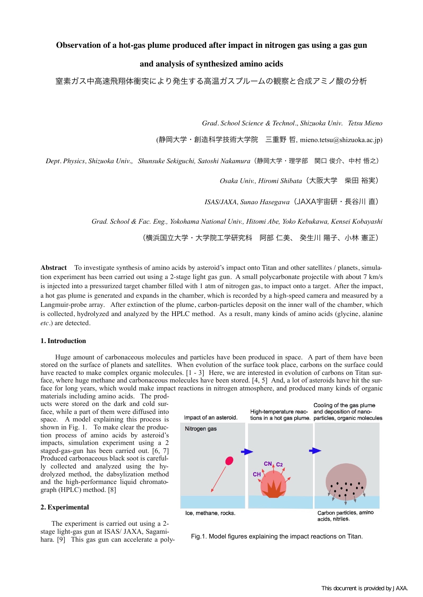# **Observation of a hot-gas plume produced after impact in nitrogen gas using a gas gun**

## **and analysis of synthesized amino acids**

窒素ガス中高速飛翔体衝突により発生する高温ガスプルームの観察と合成アミノ酸の分析

*Grad. School Science & Technol., Shizuoka Univ. Tetsu Mieno*

(静岡大学・創造科学技術大学院 三重野 哲, [mieno.tetsu@shizuoka.ac.jp](mailto:mieno.tetsu@shizuoka.ac.jp?subject=))

*Dept. Physics, Shizuoka Univ., Shunsuke Sekiguchi, Satoshi Nakamura*(静岡大学・理学部 関口 俊介、中村 悟之)

*Osaka Univ., Hiromi Shibata*(大阪大学 柴田 裕実)

*ISAS/JAXA, Sunao Hasegawa*(JAXA宇宙研・長谷川 直)

*Grad. School & Fac. Eng., Yokohama National Univ., Hitomi Abe, Yoko Kebukawa, Kensei Kobayashi* 

(横浜国立大学・大学院工学研究科 阿部 仁美、 癸生川 陽子、小林 憲正)

**Abstract** To investigate synthesis of amino acids by asteroid's impact onto Titan and other satellites / planets, simulation experiment has been carried out using a 2-stage light gas gun. A small polycarbonate projectile with about 7 km/s is injected into a pressurized target chamber filled with 1 atm of nitrogen gas, to impact onto a target. After the impact, a hot gas plume is generated and expands in the chamber, which is recorded by a high-speed camera and measured by a Langmuir-probe array. After extinction of the plume, carbon-particles deposit on the inner wall of the chamber, which is collected, hydrolyzed and analyzed by the HPLC method. As a result, many kinds of amino acids (glycine, alanine *etc*.) are detected.

### **1. Introduction**

 Huge amount of carbonaceous molecules and particles have been produced in space. A part of them have been stored on the surface of planets and satellites. When evolution of the surface took place, carbons on the surface could have reacted to make complex organic molecules.  $[1 - 3]$  Here, we are interested in evolution of carbons on Titan surface, where huge methane and carbonaceous molecules have been stored. [4, 5] And, a lot of asteroids have hit the surface for long years, which would make impact reactions in nitrogen atmosphere, and produced many kinds of organic

materials including amino acids. The products were stored on the dark and cold surface, while a part of them were diffused into space. A model explaining this process is shown in Fig. 1. To make clear the production process of amino acids by asteroid's impacts, simulation experiment using a 2 staged-gas-gun has been carried out. [6, 7] Produced carbonaceous black soot is carefully collected and analyzed using the hydrolyzed method, the dabsylization method and the high-performance liquid chromatograph (HPLC) method. [8]

# **2. Experimental**

 The experiment is carried out using a 2 stage light-gas gun at ISAS/ JAXA, Sagamihara. [9] This gas gun can accelerate a poly-<br>hara. [9] This gas gun can accelerate a poly-<br>Fig.1. Model figures explaining the impact reactions on Titan.

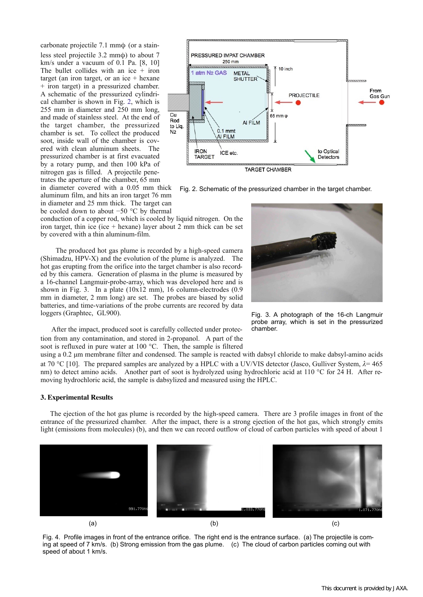carbonate projectile 7.1 mmφ (or a stainless steel projectile 3.2 mmφ) to about 7 km/s under a vacuum of 0.1 Pa. [8, 10] The bullet collides with an ice  $+$  iron target (an iron target, or an ice  $+$  hexane + iron target) in a pressurized chamber. A schematic of the pressurized cylindrical chamber is shown in Fig. 2, which is 255 mm in diameter and 250 mm long, and made of stainless steel. At the end of the target chamber, the pressurized chamber is set. To collect the produced soot, inside wall of the chamber is covered with clean aluminum sheets. The pressurized chamber is at first evacuated by a rotary pump, and then 100 kPa of nitrogen gas is filled. A projectile penetrates the aperture of the chamber, 65 mm in diameter covered with a 0.05 mm thick

aluminum film, and hits an iron target 76 mm in diameter and 25 mm thick. The target can



Fig. 2. Schematic of the pressurized chamber in the target chamber.

be cooled down to about −50 °C by thermal conduction of a copper rod, which is cooled by liquid nitrogen. On the iron target, thin ice (ice  $+$  hexane) layer about 2 mm thick can be set by covered with a thin aluminum-film.

 The produced hot gas plume is recorded by a high-speed camera (Shimadzu, HPV-X) and the evolution of the plume is analyzed. The hot gas erupting from the orifice into the target chamber is also recorded by this camera. Generation of plasma in the plume is measured by a 16-channel Langmuir-probe-array, which was developed here and is shown in Fig. 3. In a plate (10x12 mm), 16 column-electrodes (0.9 mm in diameter, 2 mm long) are set. The probes are biased by solid batteries, and time-variations of the probe currents are recored by data loggers (Graphtec, GL900).



Fig. 3. A photograph of the 16-ch Langmuir probe array, which is set in the pressurized chamber.

 After the impact, produced soot is carefully collected under protection from any contamination, and stored in 2-propanol. A part of the soot is refluxed in pure water at 100 °C. Then, the sample is filtered

using a 0.2 µm membrane filter and condensed. The sample is reacted with dabsyl chloride to make dabsyl-amino acids at 70 °C [10]. The prepared samples are analyzed by a HPLC with a UV/VIS detector (Jasco, Gulliver System, *λ*= 465 nm) to detect amino acids. Another part of soot is hydrolyzed using hydrochloric acid at 110 °C for 24 H. After removing hydrochloric acid, the sample is dabsylized and measured using the HPLC.

#### **3. Experimental Results**

 The ejection of the hot gas plume is recorded by the high-speed camera. There are 3 profile images in front of the entrance of the pressurized chamber. After the impact, there is a strong ejection of the hot gas, which strongly emits light (emissions from molecules) (b), and then we can record outflow of cloud of carbon particles with speed of about 1



Fig. 4. Profile images in front of the entrance orifice. The right end is the entrance surface. (a) The projectile is coming at speed of 7 km/s. (b) Strong emission from the gas plume. (c) The cloud of carbon particles coming out with speed of about 1 km/s.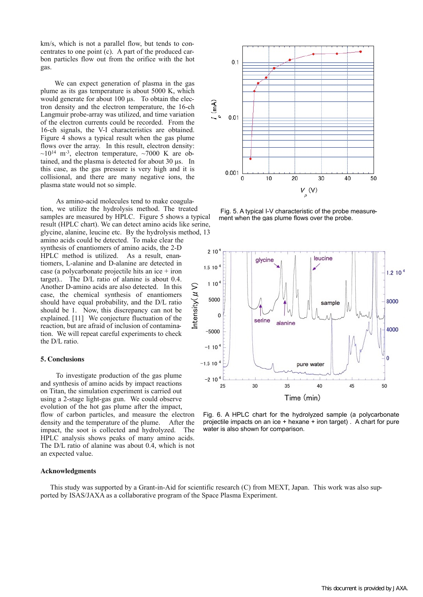km/s, which is not a parallel flow, but tends to concentrates to one point (c). A part of the produced carbon particles flow out from the orifice with the hot gas.

 We can expect generation of plasma in the gas plume as its gas temperature is about 5000 K, which would generate for about 100 us. To obtain the electron density and the electron temperature, the 16-ch Langmuir probe-array was utilized, and time variation of the electron currents could be recorded. From the 16-ch signals, the V-I characteristics are obtained. Figure 4 shows a typical result when the gas plume flows over the array. In this result, electron density:  $\sim$ 10<sup>14</sup> m<sup>-3</sup>, electron temperature,  $\sim$ 7000 K are obtained, and the plasma is detected for about 30 µs. In this case, as the gas pressure is very high and it is collisional, and there are many negative ions, the plasma state would not so simple.

 As amino-acid molecules tend to make coagulation, we utilize the hydrolysis method. The treated samples are measured by HPLC. Figure 5 shows a typical result (HPLC chart). We can detect amino acids like serine, glycine, alanine, leucine etc. By the hydrolysis method, 13

amino acids could be detected. To make clear the synthesis of enantiomers of amino acids, the 2-D HPLC method is utilized. As a result, enantiomers, L-alanine and D-alanine are detected in case (a polycarbonate projectile hits an ice + iron target).. The D/L ratio of alanine is about 0.4. Another D-amino acids are also detected. In this case, the chemical synthesis of enantiomers should have equal probability, and the D/L ratio should be 1. Now, this discrepancy can not be explained. [11] We conjecture fluctuation of the reaction, but are afraid of inclusion of contamination. We will repeat careful experiments to check the D/L ratio.

## **5. Conclusions**

 To investigate production of the gas plume and synthesis of amino acids by impact reactions on Titan, the simulation experiment is carried out using a 2-stage light-gas gun. We could observe evolution of the hot gas plume after the impact, flow of carbon particles, and measure the electron density and the temperature of the plume. After the impact, the soot is collected and hydrolyzed. The HPLC analysis shows peaks of many amino acids. The D/L ratio of alanine was about 0.4, which is not an expected value.

## **Acknowledgments**

 $0<sub>1</sub>$  $\widehat{(\mathsf{mA})}$  $0.01$ 0.001  $\Omega$  $10$ 30  $20$ 40 50  $V_{\stackrel{}{\rho}}(V)$ 

 Fig. 5. A typical I-V characteristic of the probe measurement when the gas plume flows over the probe.



Fig. 6. A HPLC chart for the hydrolyzed sample (a polycarbonate projectile impacts on an ice + hexane + iron target) . A chart for pure water is also shown for comparison.

 This study was supported by a Grant-in-Aid for scientific research (C) from MEXT, Japan. This work was also supported by ISAS/JAXA as a collaborative program of the Space Plasma Experiment.